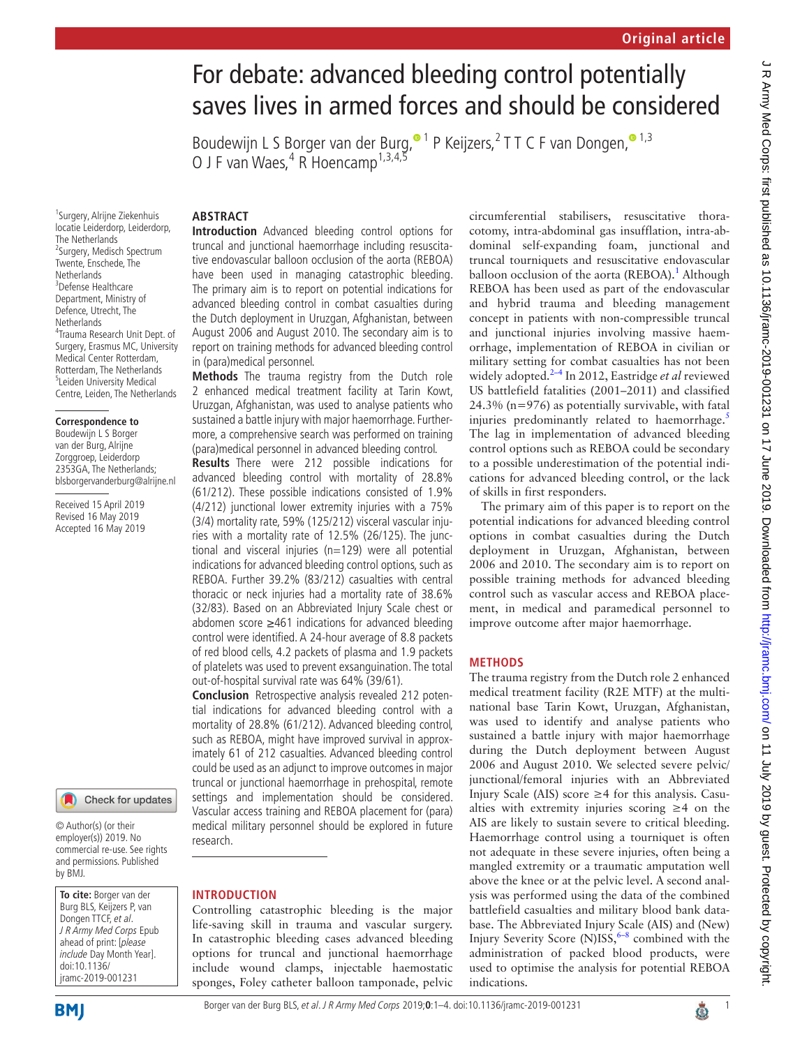# For debate: advanced bleeding control potentially saves lives in armed forces and should be considered

Boudewijn L S Borger van der Burg[,](http://orcid.org/0000-0002-1199-4042)<sup>o 1</sup> P Keijzers,<sup>2</sup> T T C F van Dongen,<sup>o 1,3</sup> O J F van Waes,<sup>4</sup> R Hoencamp<sup>1,3,4,5</sup>

# **Abstract**

1 Surgery, Alrijne Ziekenhuis locatie Leiderdorp, Leiderdorp, The Netherlands <sup>2</sup>Surgery, Medisch Spectrum Twente, Enschede, The Netherlands 3 Defense Healthcare Department, Ministry of Defence, Utrecht, The **Netherlands** 4 Trauma Research Unit Dept. of Surgery, Erasmus MC, University Medical Center Rotterdam, Rotterdam, The Netherlands <sup>5</sup>Leiden University Medical Centre, Leiden, The Netherlands

#### **Correspondence to**

Boudewijn L S Borger van der Burg, Alrijne Zorggroep, Leiderdorp 2353GA, The Netherlands; blsborgervanderburg@alrijne.nl

Received 15 April 2019 Revised 16 May 2019 Accepted 16 May 2019



© Author(s) (or their employer(s)) 2019. No commercial re-use. See rights and permissions. Published by BMJ.

**To cite:** Borger van der Burg BLS, Keijzers P, van Dongen TTCF, et al. J R Army Med Corps Epub ahead of print: [please include Day Month Year]. doi:10.1136/ jramc-2019-001231

**Introduction** Advanced bleeding control options for truncal and junctional haemorrhage including resuscitative endovascular balloon occlusion of the aorta (REBOA) have been used in managing catastrophic bleeding. The primary aim is to report on potential indications for advanced bleeding control in combat casualties during the Dutch deployment in Uruzgan, Afghanistan, between August 2006 and August 2010. The secondary aim is to report on training methods for advanced bleeding control in (para)medical personnel.

**Methods** The trauma registry from the Dutch role 2 enhanced medical treatment facility at Tarin Kowt, Uruzgan, Afghanistan, was used to analyse patients who sustained a battle injury with major haemorrhage. Furthermore, a comprehensive search was performed on training (para)medical personnel in advanced bleeding control.

**Results** There were 212 possible indications for advanced bleeding control with mortality of 28.8% (61/212). These possible indications consisted of 1.9% (4/212) junctional lower extremity injuries with a 75% (3/4) mortality rate, 59% (125/212) visceral vascular injuries with a mortality rate of 12.5% (26/125). The junctional and visceral injuries (n=129) were all potential indications for advanced bleeding control options, such as REBOA. Further 39.2% (83/212) casualties with central thoracic or neck injuries had a mortality rate of 38.6% (32/83). Based on an Abbreviated Injury Scale chest or abdomen score ≥461 indications for advanced bleeding control were identified. A 24-hour average of 8.8 packets of red blood cells, 4.2 packets of plasma and 1.9 packets of platelets was used to prevent exsanguination. The total out-of-hospital survival rate was 64% (39/61).

**Conclusion** Retrospective analysis revealed 212 potential indications for advanced bleeding control with a mortality of 28.8% (61/212). Advanced bleeding control, such as REBOA, might have improved survival in approximately 61 of 212 casualties. Advanced bleeding control could be used as an adjunct to improve outcomes in major truncal or junctional haemorrhage in prehospital, remote settings and implementation should be considered. Vascular access training and REBOA placement for (para) medical military personnel should be explored in future research.

# **Introduction**

Controlling catastrophic bleeding is the major life-saving skill in trauma and vascular surgery. In catastrophic bleeding cases advanced bleeding options for truncal and junctional haemorrhage include wound clamps, injectable haemostatic sponges, Foley catheter balloon tamponade, pelvic circumferential stabilisers, resuscitative thoracotomy, intra-abdominal gas insufflation, intra-abdominal self-expanding foam, junctional and truncal tourniquets and resuscitative endovascular balloon occlusion of the aorta (REBOA).<sup>[1](#page-3-0)</sup> Although REBOA has been used as part of the endovascular and hybrid trauma and bleeding management concept in patients with non-compressible truncal and junctional injuries involving massive haemorrhage, implementation of REBOA in civilian or military setting for combat casualties has not been widely adopted.[2–4](#page-3-1) In 2012, Eastridge *et al* reviewed US battlefield fatalities (2001–2011) and classified 24.3% (n=976) as potentially survivable, with fatal injuries predominantly related to haemorrhage.<sup>[5](#page-3-2)</sup> The lag in implementation of advanced bleeding control options such as REBOA could be secondary to a possible underestimation of the potential indications for advanced bleeding control, or the lack of skills in first responders.

The primary aim of this paper is to report on the potential indications for advanced bleeding control options in combat casualties during the Dutch deployment in Uruzgan, Afghanistan, between 2006 and 2010. The secondary aim is to report on possible training methods for advanced bleeding control such as vascular access and REBOA placement, in medical and paramedical personnel to improve outcome after major haemorrhage.

# **Methods**

The trauma registry from the Dutch role 2 enhanced medical treatment facility (R2E MTF) at the multinational base Tarin Kowt, Uruzgan, Afghanistan, was used to identify and analyse patients who sustained a battle injury with major haemorrhage during the Dutch deployment between August 2006 and August 2010. We selected severe pelvic/ junctional/femoral injuries with an Abbreviated Injury Scale (AIS) score ≥4 for this analysis. Casualties with extremity injuries scoring ≥4 on the AIS are likely to sustain severe to critical bleeding. Haemorrhage control using a tourniquet is often not adequate in these severe injuries, often being a mangled extremity or a traumatic amputation well above the knee or at the pelvic level. A second analysis was performed using the data of the combined battlefield casualties and military blood bank database. The Abbreviated Injury Scale (AIS) and (New) Injury Severity Score (N)ISS, $6-8$  combined with the administration of packed blood products, were used to optimise the analysis for potential REBOA indications.

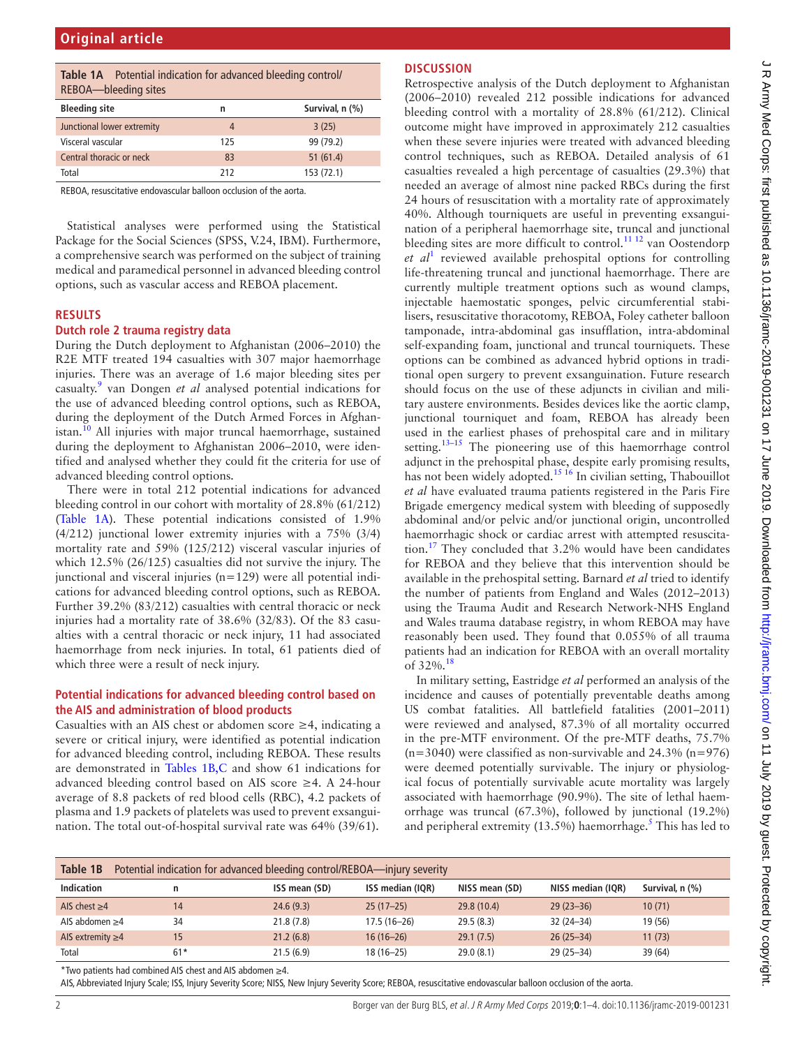<span id="page-1-0"></span>

| <b>Table 1A</b> Potential indication for advanced bleeding control/<br>REBOA-bleeding sites |                |                 |  |  |  |  |  |
|---------------------------------------------------------------------------------------------|----------------|-----------------|--|--|--|--|--|
| <b>Bleeding site</b>                                                                        | n              | Survival, n (%) |  |  |  |  |  |
| Junctional lower extremity                                                                  | $\overline{4}$ | 3(25)           |  |  |  |  |  |
| Visceral vascular                                                                           | 125            | 99 (79.2)       |  |  |  |  |  |
| Central thoracic or neck                                                                    | 83             | 51(61.4)        |  |  |  |  |  |
| Total                                                                                       | 212            | 153 (72.1)      |  |  |  |  |  |

REBOA, resuscitative endovascular balloon occlusion of the aorta.

Statistical analyses were performed using the Statistical Package for the Social Sciences (SPSS, V.24, IBM). Furthermore, a comprehensive search was performed on the subject of training medical and paramedical personnel in advanced bleeding control options, such as vascular access and REBOA placement.

#### **Results**

#### **Dutch role 2 trauma registry data**

During the Dutch deployment to Afghanistan (2006–2010) the R2E MTF treated 194 casualties with 307 major haemorrhage injuries. There was an average of 1.6 major bleeding sites per casualty[.9](#page-3-4) van Dongen *et al* analysed potential indications for the use of advanced bleeding control options, such as REBOA, during the deployment of the Dutch Armed Forces in Afghan-istan.<sup>[10](#page-3-5)</sup> All injuries with major truncal haemorrhage, sustained during the deployment to Afghanistan 2006–2010, were identified and analysed whether they could fit the criteria for use of advanced bleeding control options.

There were in total 212 potential indications for advanced bleeding control in our cohort with mortality of 28.8% (61/212) ([Table](#page-1-0) 1A). These potential indications consisted of 1.9% (4/212) junctional lower extremity injuries with a 75% (3/4) mortality rate and 59% (125/212) visceral vascular injuries of which 12.5% (26/125) casualties did not survive the injury. The junctional and visceral injuries (n=129) were all potential indications for advanced bleeding control options, such as REBOA. Further 39.2% (83/212) casualties with central thoracic or neck injuries had a mortality rate of 38.6% (32/83). Of the 83 casualties with a central thoracic or neck injury, 11 had associated haemorrhage from neck injuries. In total, 61 patients died of which three were a result of neck injury.

#### **Potential indications for advanced bleeding control based on the AIS and administration of blood products**

Casualties with an AIS chest or abdomen score  $\geq$ 4, indicating a severe or critical injury, were identified as potential indication for advanced bleeding control, including REBOA. These results are demonstrated in [Tables](#page-1-1) 1B,C and show 61 indications for advanced bleeding control based on AIS score ≥4. A 24-hour average of 8.8 packets of red blood cells (RBC), 4.2 packets of plasma and 1.9 packets of platelets was used to prevent exsanguination. The total out-of-hospital survival rate was 64% (39/61).

# **Discussion**

Retrospective analysis of the Dutch deployment to Afghanistan (2006–2010) revealed 212 possible indications for advanced bleeding control with a mortality of 28.8% (61/212). Clinical outcome might have improved in approximately 212 casualties when these severe injuries were treated with advanced bleeding control techniques, such as REBOA. Detailed analysis of 61 casualties revealed a high percentage of casualties (29.3%) that needed an average of almost nine packed RBCs during the first 24 hours of resuscitation with a mortality rate of approximately 40%. Although tourniquets are useful in preventing exsanguination of a peripheral haemorrhage site, truncal and junctional bleeding sites are more difficult to control.<sup>11 12</sup> van Oostendorp *et al*[1](#page-3-0) reviewed available prehospital options for controlling life-threatening truncal and junctional haemorrhage. There are currently multiple treatment options such as wound clamps, injectable haemostatic sponges, pelvic circumferential stabilisers, resuscitative thoracotomy, REBOA, Foley catheter balloon tamponade, intra-abdominal gas insufflation, intra-abdominal self-expanding foam, junctional and truncal tourniquets. These options can be combined as advanced hybrid options in traditional open surgery to prevent exsanguination. Future research should focus on the use of these adjuncts in civilian and military austere environments. Besides devices like the aortic clamp, junctional tourniquet and foam, REBOA has already been used in the earliest phases of prehospital care and in military setting.<sup>13–15</sup> The pioneering use of this haemorrhage control adjunct in the prehospital phase, despite early promising results, has not been widely adopted.<sup>15 16</sup> In civilian setting, Thabouillot *et al* have evaluated trauma patients registered in the Paris Fire Brigade emergency medical system with bleeding of supposedly abdominal and/or pelvic and/or junctional origin, uncontrolled haemorrhagic shock or cardiac arrest with attempted resuscitation.[17](#page-3-9) They concluded that 3.2% would have been candidates for REBOA and they believe that this intervention should be available in the prehospital setting. Barnard *et al* tried to identify the number of patients from England and Wales (2012–2013) using the Trauma Audit and Research Network-NHS England and Wales trauma database registry, in whom REBOA may have reasonably been used. They found that 0.055% of all trauma patients had an indication for REBOA with an overall mortality of 32%.[18](#page-3-10)

In military setting, Eastridge *et al* performed an analysis of the incidence and causes of potentially preventable deaths among US combat fatalities. All battlefield fatalities (2001–2011) were reviewed and analysed, 87.3% of all mortality occurred in the pre-MTF environment. Of the pre-MTF deaths, 75.7%  $(n=3040)$  were classified as non-survivable and 24.3%  $(n=976)$ were deemed potentially survivable. The injury or physiological focus of potentially survivable acute mortality was largely associated with haemorrhage (90.9%). The site of lethal haemorrhage was truncal (67.3%), followed by junctional (19.2%) and peripheral extremity (13.[5](#page-3-2)%) haemorrhage.<sup>5</sup> This has led to

<span id="page-1-1"></span>

| Table 1B<br>Potential indication for advanced bleeding control/REBOA—injury severity |       |               |                  |                |                   |                 |  |
|--------------------------------------------------------------------------------------|-------|---------------|------------------|----------------|-------------------|-----------------|--|
| <b>Indication</b>                                                                    | n     | ISS mean (SD) | ISS median (IQR) | NISS mean (SD) | NISS median (IQR) | Survival, n (%) |  |
| AIS chest $\geq$ 4                                                                   | 14    | 24.6(9.3)     | $25(17-25)$      | 29.8 (10.4)    | $29(23 - 36)$     | 10(71)          |  |
| AIS abdomen $\geq$ 4                                                                 | 34    | 21.8(7.8)     | $17.5(16-26)$    | 29.5(8.3)      | 32 (24 - 34)      | 19 (56)         |  |
| AIS extremity $\geq 4$                                                               | 15    | 21.2(6.8)     | $16(16-26)$      | 29.1(7.5)      | $26(25-34)$       | 11(73)          |  |
| Total                                                                                | $61*$ | 21.5(6.9)     | $18(16 - 25)$    | 29.0(8.1)      | $29(25 - 34)$     | 39 (64)         |  |

\*Two patients had combined AIS chest and AIS abdomen ≥4.

AIS, Abbreviated Injury Scale; ISS, Injury Severity Score; NISS, New Injury Severity Score; REBOA, resuscitative endovascular balloon occlusion of the aorta.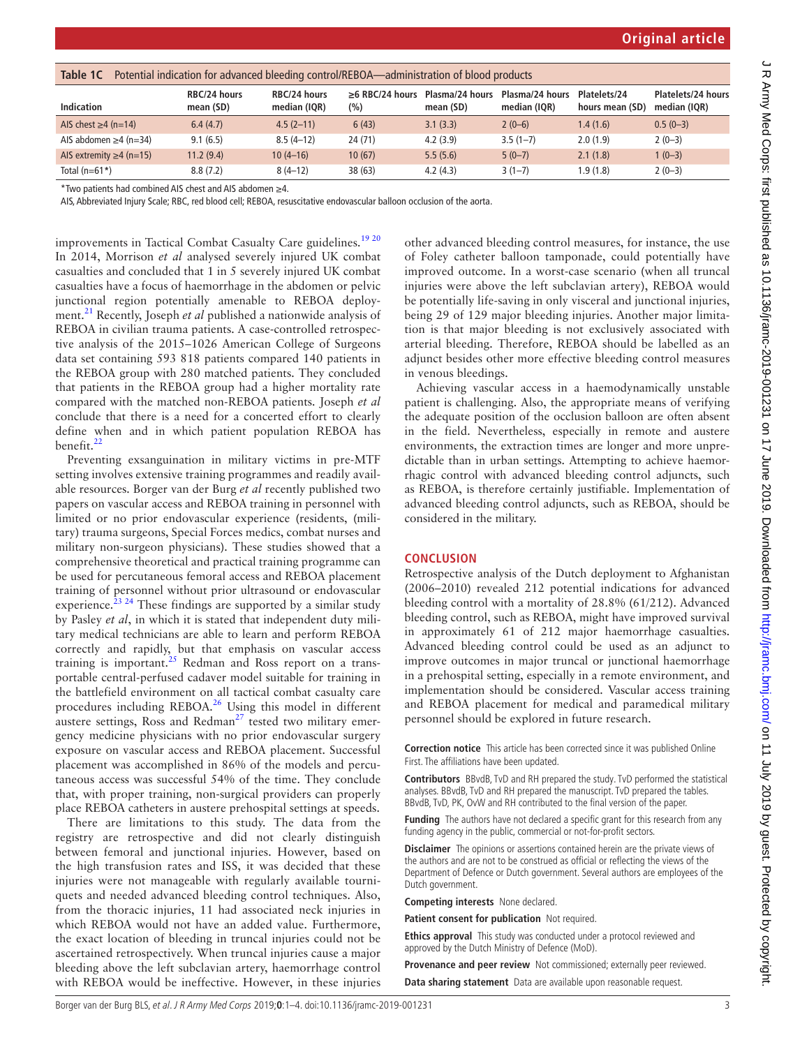| Potential indication for advanced bleeding control/REBOA—administration of blood products<br>Table 1C |                           |                              |                               |                              |                                 |                                 |                                    |  |
|-------------------------------------------------------------------------------------------------------|---------------------------|------------------------------|-------------------------------|------------------------------|---------------------------------|---------------------------------|------------------------------------|--|
| <b>Indication</b>                                                                                     | RBC/24 hours<br>mean (SD) | RBC/24 hours<br>median (IQR) | $\geq 6$ RBC/24 hours<br>(% ) | Plasma/24 hours<br>mean (SD) | Plasma/24 hours<br>median (IOR) | Platelets/24<br>hours mean (SD) | Platelets/24 hours<br>median (IQR) |  |
| AIS chest $\geq 4$ (n=14)                                                                             | 6.4(4.7)                  | $4.5(2-11)$                  | 6(43)                         | 3.1(3.3)                     | $2(0-6)$                        | 1.4(1.6)                        | $0.5(0-3)$                         |  |
| AIS abdomen $\geq$ 4 (n=34)                                                                           | 9.1(6.5)                  | $8.5(4-12)$                  | 24 (71)                       | 4.2(3.9)                     | $3.5(1-7)$                      | 2.0(1.9)                        | $2(0-3)$                           |  |
| AIS extremity $\geq 4$ (n=15)                                                                         | 11.2(9.4)                 | $10(4-16)$                   | 10(67)                        | 5.5(5.6)                     | $5(0-7)$                        | 2.1(1.8)                        | $1(0-3)$                           |  |
| Total $(n=61*)$                                                                                       | 8.8(7.2)                  | $8(4-12)$                    | 38 (63)                       | 4.2(4.3)                     | $3(1-7)$                        | 1.9(1.8)                        | $2(0-3)$                           |  |

\*Two patients had combined AIS chest and AIS abdomen ≥4.

AIS, Abbreviated Injury Scale; RBC, red blood cell; REBOA, resuscitative endovascular balloon occlusion of the aorta.

improvements in Tactical Combat Casualty Care guidelines.<sup>[19 20](#page-3-11)</sup> In 2014, Morrison *et al* analysed severely injured UK combat casualties and concluded that 1 in 5 severely injured UK combat casualties have a focus of haemorrhage in the abdomen or pelvic junctional region potentially amenable to REBOA deployment.[21](#page-3-12) Recently, Joseph *et al* published a nationwide analysis of REBOA in civilian trauma patients. A case-controlled retrospective analysis of the 2015–1026 American College of Surgeons data set containing 593 818 patients compared 140 patients in the REBOA group with 280 matched patients. They concluded that patients in the REBOA group had a higher mortality rate compared with the matched non-REBOA patients. Joseph *et al* conclude that there is a need for a concerted effort to clearly define when and in which patient population REBOA has benefit.<sup>22</sup>

Preventing exsanguination in military victims in pre-MTF setting involves extensive training programmes and readily available resources. Borger van der Burg *et al* recently published two papers on vascular access and REBOA training in personnel with limited or no prior endovascular experience (residents, (military) trauma surgeons, Special Forces medics, combat nurses and military non-surgeon physicians). These studies showed that a comprehensive theoretical and practical training programme can be used for percutaneous femoral access and REBOA placement training of personnel without prior ultrasound or endovascular experience.<sup> $23, 24$ </sup> These findings are supported by a similar study by Pasley *et al*, in which it is stated that independent duty military medical technicians are able to learn and perform REBOA correctly and rapidly, but that emphasis on vascular access training is important.<sup>[25](#page-3-15)</sup> Redman and Ross report on a transportable central-perfused cadaver model suitable for training in the battlefield environment on all tactical combat casualty care procedures including REBOA.<sup>26</sup> Using this model in different austere settings, Ross and Redman $27$  tested two military emergency medicine physicians with no prior endovascular surgery exposure on vascular access and REBOA placement. Successful placement was accomplished in 86% of the models and percutaneous access was successful 54% of the time. They conclude that, with proper training, non-surgical providers can properly place REBOA catheters in austere prehospital settings at speeds.

There are limitations to this study. The data from the registry are retrospective and did not clearly distinguish between femoral and junctional injuries. However, based on the high transfusion rates and ISS, it was decided that these injuries were not manageable with regularly available tourniquets and needed advanced bleeding control techniques. Also, from the thoracic injuries, 11 had associated neck injuries in which REBOA would not have an added value. Furthermore, the exact location of bleeding in truncal injuries could not be ascertained retrospectively. When truncal injuries cause a major bleeding above the left subclavian artery, haemorrhage control with REBOA would be ineffective. However, in these injuries

other advanced bleeding control measures, for instance, the use of Foley catheter balloon tamponade, could potentially have improved outcome. In a worst-case scenario (when all truncal injuries were above the left subclavian artery), REBOA would be potentially life-saving in only visceral and junctional injuries, being 29 of 129 major bleeding injuries. Another major limitation is that major bleeding is not exclusively associated with arterial bleeding. Therefore, REBOA should be labelled as an adjunct besides other more effective bleeding control measures in venous bleedings.

Achieving vascular access in a haemodynamically unstable patient is challenging. Also, the appropriate means of verifying the adequate position of the occlusion balloon are often absent in the field. Nevertheless, especially in remote and austere environments, the extraction times are longer and more unpredictable than in urban settings. Attempting to achieve haemorrhagic control with advanced bleeding control adjuncts, such as REBOA, is therefore certainly justifiable. Implementation of advanced bleeding control adjuncts, such as REBOA, should be considered in the military.

#### **Conclusion**

Retrospective analysis of the Dutch deployment to Afghanistan (2006–2010) revealed 212 potential indications for advanced bleeding control with a mortality of 28.8% (61/212). Advanced bleeding control, such as REBOA, might have improved survival in approximately 61 of 212 major haemorrhage casualties. Advanced bleeding control could be used as an adjunct to improve outcomes in major truncal or junctional haemorrhage in a prehospital setting, especially in a remote environment, and implementation should be considered. Vascular access training and REBOA placement for medical and paramedical military personnel should be explored in future research.

**Correction notice** This article has been corrected since it was published Online First. The affiliations have been updated.

**Contributors** BBvdB, TvD and RH prepared the study. TvD performed the statistical analyses. BBvdB, TvD and RH prepared the manuscript. TvD prepared the tables. BBvdB, TvD, PK, OvW and RH contributed to the final version of the paper.

**Funding** The authors have not declared a specific grant for this research from any funding agency in the public, commercial or not-for-profit sectors.

**Disclaimer** The opinions or assertions contained herein are the private views of the authors and are not to be construed as official or reflecting the views of the Department of Defence or Dutch government. Several authors are employees of the Dutch government.

**Competing interests** None declared.

**Patient consent for publication** Not required.

**Ethics approval** This study was conducted under a protocol reviewed and approved by the Dutch Ministry of Defence (MoD).

**Provenance and peer review** Not commissioned; externally peer reviewed. **Data sharing statement** Data are available upon reasonable request.